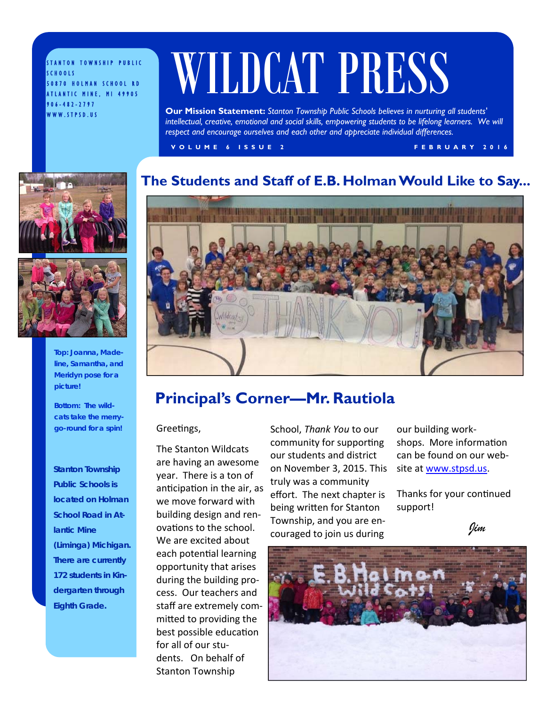STANTON TOWNSHIP PUBLIC SCHOOLS 50870 HOLMAN SCHOOL RD ATLANTIC MINE, MI 49905 906-482-2797 WWW.STPSD.US

# WILDCAT PRESS

**Our Mission Statement:** *Stanton Township Public Schools believes in nurturing all students'*  intellectual, creative, emotional and social skills, empowering students to be lifelong learners. We will *respect and encourage ourselves and each other and appreciate individual differences.* 

**VOLUME 6 ISSUE 2 FEBRUARY 2016** 

### **The Students and Staff of E.B. Holman Would Like to Say...**





**Top: Joanna, Madeline, Samantha, and Meridyn pose for a picture!** 

**Bottom: The wildcats take the merrygo-round for a spin!** 

*Stanton Township Public Schools is located on Holman School Road in Atlantic Mine (Liminga) Michigan. There are currently 172 students in Kindergarten through Eighth Grade.* 



### **Principal's Corner—Mr. Rautiola**

Greetings,

The Stanton Wildcats are having an awesome year. There is a ton of anticipation in the air, as we move forward with building design and renovations to the school. We are excited about each potential learning opportunity that arises during the building process. Our teachers and staff are extremely committed to providing the best possible education for all of our students. On behalf of Stanton Township

School, *Thank You* to our community for supporting our students and district on November 3, 2015. This truly was a community effort. The next chapter is being written for Stanton Township, and you are encouraged to join us during

our building workshops. More information can be found on our website at www.stpsd.us.

Thanks for your continued support!

*Jim*

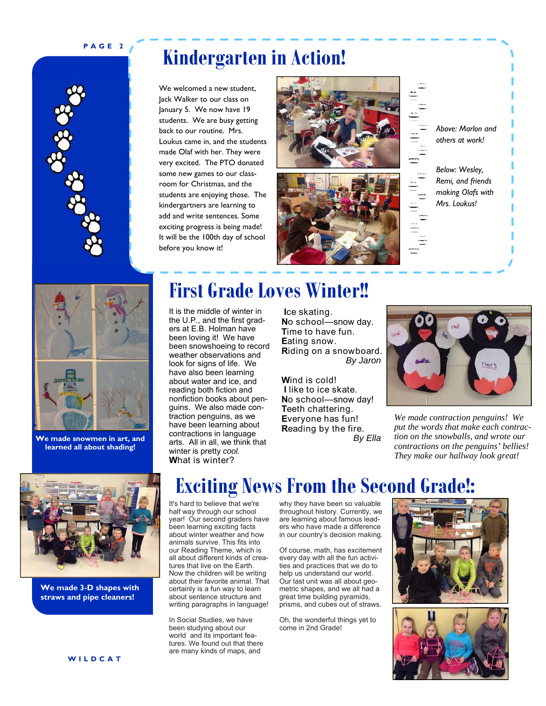### **PAGE 2**



### **Kindergarten in Action!**

We welcomed a new student, Jack Walker to our class on January 5. We now have 19 students. We are busy getting back to our routine. Mrs. Loukus came in, and the students made Olaf with her. They were very excited. The PTO donated some new games to our classroom for Christmas, and the students are enjoying those. The kindergartners are learning to add and write sentences. Some exciting progress is being made! It will be the 100th day of school before you know it!





| Above: Marlon and<br>others at work!                                     |
|--------------------------------------------------------------------------|
| Below: Wesley,<br>Remi, and friends<br>making Olafs with<br>Mrs. Loukus! |



**We made snowmen in art, and learned all about shading!**



**We made 3-D shapes with straws and pipe cleaners!** 

### **First Grade Loves Winter!!**

It is the middle of winter in the U.P., and the first graders at E.B. Holman have been loving it! We have been snowshoeing to record weather observations and look for signs of life. We have also been learning about water and ice, and reading both fiction and nonfiction books about penguins. We also made contraction penguins, as we have been learning about contractions in language arts. All in all, we think that winter is pretty *cool.*  **W**hat is winter?

 **I**ce skating. **N**o school—snow day. **T**ime to have fun. **E**ating snow. **R**iding on a snowboard. *By Jaron* 

**W**ind is cold! **I** like to ice skate. **N**o school—snow day! **T**eeth chattering. **E**veryone has fun! **R**eading by the fire.  *By Ella* 



*We made contraction penguins! We put the words that make each contraction on the snowballs, and wrote our contractions on the penguins' bellies! They make our hallway look great!* 

### **Exciting News From the Second Grade!:**

It's hard to believe that we're half way through our school year! Our second graders have been learning exciting facts about winter weather and how animals survive. This fits into our Reading Theme, which is all about different kinds of creatures that live on the Farth. Now the children will be writing about their favorite animal. That certainly is a fun way to learn about sentence structure and writing paragraphs in language!

In Social Studies, we have been studying about our world and its important features. We found out that there are many kinds of maps, and

why they have been so valuable throughout history. Currently, we are learning about famous leaders who have made a difference in our country's decision making.

Of course, math, has excitement every day with all the fun activities and practices that we do to help us understand our world. Our last unit was all about geometric shapes, and we all had a great time building pyramids, prisms, and cubes out of straws.

Oh, the wonderful things yet to come in 2nd Grade!



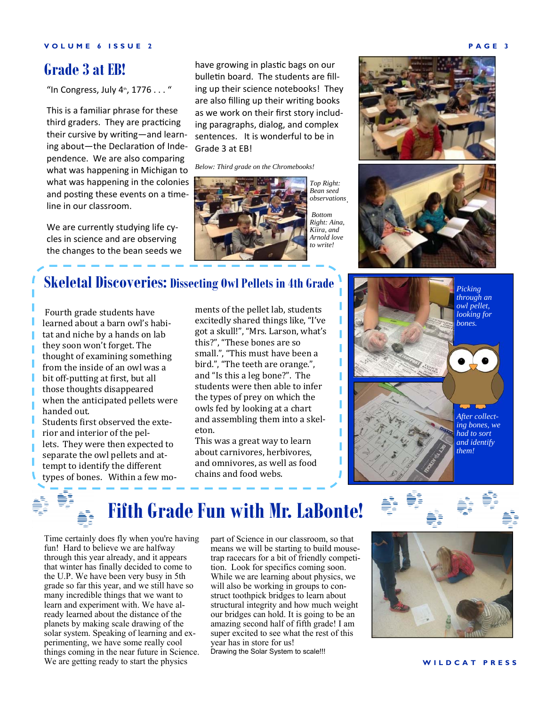### **Grade 3 at EB!**

"In Congress, July  $4<sup>th</sup>$ , 1776 . . . "

This is a familiar phrase for these third graders. They are practicing their cursive by writing—and learning about-the Declaration of Independence. We are also comparing what was happening in Michigan to what was happening in the colonies and posting these events on a timeline in our classroom.

We are currently studying life cycles in science and are observing the changes to the bean seeds we have growing in plastic bags on our bulletin board. The students are filling up their science notebooks! They are also filling up their writing books as we work on their first story including paragraphs, dialog, and complex sentences. It is wonderful to be in Grade 3 at EB!

*Below: Third grade on the Chromebooks!* 



*observations*  .  *Bottom Right: Aina, Kiira, and Arnold love to write!*





### **Skeletal Discoveries: Dissecting Owl Pellets in 4th Grade**

Fourth grade students have learned about a barn owl's habitat and niche by a hands on lab they soon won't forget. The thought of examining something from the inside of an owl was a bit off-putting at first, but all those thoughts disappeared when the anticipated pellets were handed out. Students first observed the exte-

rior and interior of the pellets. They were then expected to separate the owl pellets and attempt to identify the different types of bones. Within a few mo-

ments of the pellet lab, students excitedly shared things like, "I've got a skull!", "Mrs. Larson, what's this?", "These bones are so small.", "This must have been a bird.", "The teeth are orange.", and "Is this a leg bone?". The students were then able to infer the types of prey on which the owls fed by looking at a chart and assembling them into a skeleton.

This was a great way to learn about carnivores, herbivores, and omnivores, as well as food chains and food webs.





### **Fifth Grade Fun with Mr. LaBonte!**

Time certainly does fly when you're having fun! Hard to believe we are halfway through this year already, and it appears that winter has finally decided to come to the U.P. We have been very busy in 5th grade so far this year, and we still have so many incredible things that we want to learn and experiment with. We have already learned about the distance of the planets by making scale drawing of the solar system. Speaking of learning and experimenting, we have some really cool things coming in the near future in Science. We are getting ready to start the physics

part of Science in our classroom, so that means we will be starting to build mousetrap racecars for a bit of friendly competition. Look for specifics coming soon. While we are learning about physics, we will also be working in groups to construct toothpick bridges to learn about structural integrity and how much weight our bridges can hold. It is going to be an amazing second half of fifth grade! I am super excited to see what the rest of this year has in store for us! Drawing the Solar System to scale!!!